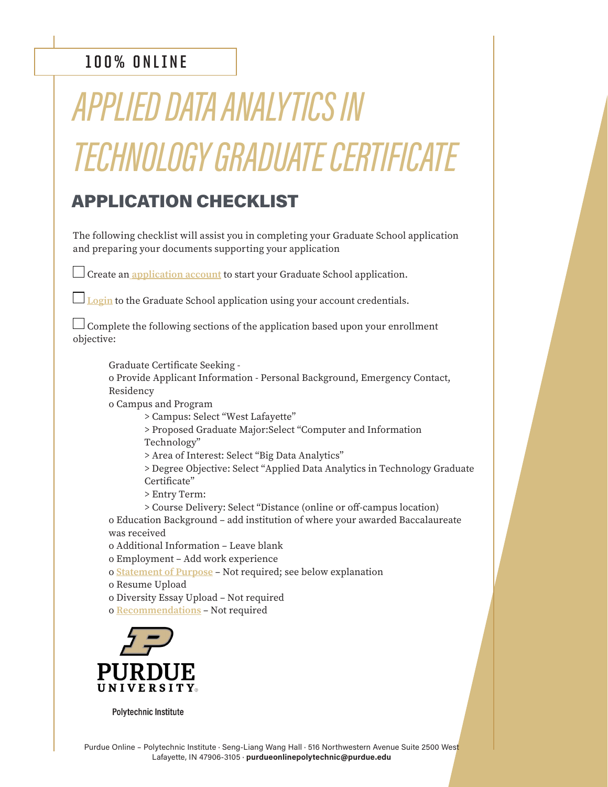## **100% ONLINE**

## *APPLIED DATA ANALYTICS IN TECHNOLOGY GRADUATE CERTIFICATE*

## APPLICATION CHECKLIST

The following checklist will assist you in completing your Graduate School application and preparing your documents supporting your application

 $\Box$  Create an [application account](https://gradapply.purdue.edu/apply/) to start your Graduate School application.

**[Login](https://gradapply.purdue.edu/apply/)** to the Graduate School application using your account credentials.

 $\Box$  Complete the following sections of the application based upon your enrollment objective:

Graduate Certificate Seeking o Provide Applicant Information - Personal Background, Emergency Contact, Residency o Campus and Program

> Campus: Select "West Lafayette"

 > Proposed Graduate Major:Select "Computer and Information Technology"

> Area of Interest: Select "Big Data Analytics"

 > Degree Objective: Select "Applied Data Analytics in Technology Graduate Certificate"

> Entry Term:

 > Course Delivery: Select "Distance (online or off-campus location) o Education Background – add institution of where your awarded Baccalaureate was received

o Additional Information – Leave blank

o Employment – Add work experience

o [Statement of Purpose](https://www.purdue.edu/gradschool/admissions/how-to-apply/apply-statement.html) – Not required; see below explanation

o Resume Upload

o Diversity Essay Upload – Not required

o [Recommendations](https://www.purdue.edu/gradschool/admissions/how-to-apply/apply-recommendation.html) – Not required



**Polytechnic Institute**